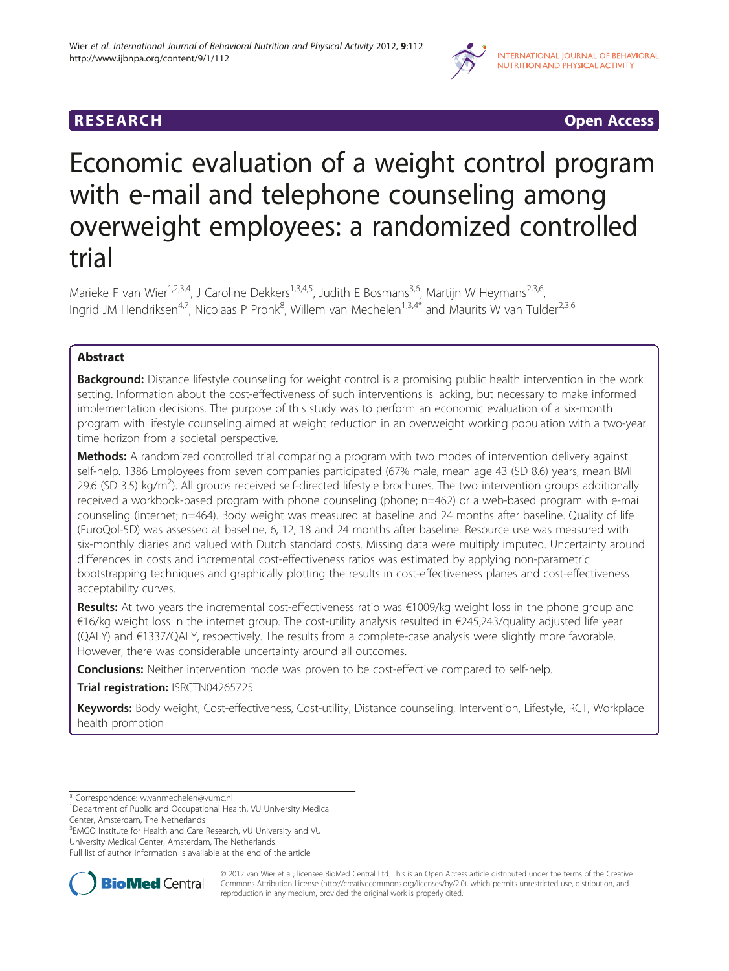

# **RESEARCH CHINESEARCH CHINESEARCH**

# Economic evaluation of a weight control program with e-mail and telephone counseling among overweight employees: a randomized controlled trial

Marieke F van Wier<sup>1,2,3,4</sup>, J Caroline Dekkers<sup>1,3,4,5</sup>, Judith E Bosmans<sup>3,6</sup>, Martijn W Heymans<sup>2,3,6</sup>, Ingrid JM Hendriksen<sup>4,7</sup>, Nicolaas P Pronk<sup>8</sup>, Willem van Mechelen<sup>1,3,4\*</sup> and Maurits W van Tulder<sup>2,3,6</sup>

# Abstract

Background: Distance lifestyle counseling for weight control is a promising public health intervention in the work setting. Information about the cost-effectiveness of such interventions is lacking, but necessary to make informed implementation decisions. The purpose of this study was to perform an economic evaluation of a six-month program with lifestyle counseling aimed at weight reduction in an overweight working population with a two-year time horizon from a societal perspective.

**Methods:** A randomized controlled trial comparing a program with two modes of intervention delivery against self-help. 1386 Employees from seven companies participated (67% male, mean age 43 (SD 8.6) years, mean BMI 29.6 (SD 3.5) kg/m<sup>2</sup>). All groups received self-directed lifestyle brochures. The two intervention groups additionally received a workbook-based program with phone counseling (phone; n=462) or a web-based program with e-mail counseling (internet; n=464). Body weight was measured at baseline and 24 months after baseline. Quality of life (EuroQol-5D) was assessed at baseline, 6, 12, 18 and 24 months after baseline. Resource use was measured with six-monthly diaries and valued with Dutch standard costs. Missing data were multiply imputed. Uncertainty around differences in costs and incremental cost-effectiveness ratios was estimated by applying non-parametric bootstrapping techniques and graphically plotting the results in cost-effectiveness planes and cost-effectiveness acceptability curves.

Results: At two years the incremental cost-effectiveness ratio was €1009/kg weight loss in the phone group and €16/kg weight loss in the internet group. The cost-utility analysis resulted in €245,243/quality adjusted life year (QALY) and €1337/QALY, respectively. The results from a complete-case analysis were slightly more favorable. However, there was considerable uncertainty around all outcomes.

**Conclusions:** Neither intervention mode was proven to be cost-effective compared to self-help.

# Trial registration: ISRCTN04265725

Keywords: Body weight, Cost-effectiveness, Cost-utility, Distance counseling, Intervention, Lifestyle, RCT, Workplace health promotion

<sup>3</sup> EMGO Institute for Health and Care Research, VU University and VU

University Medical Center, Amsterdam, The Netherlands

Full list of author information is available at the end of the article



© 2012 van Wier et al.; licensee BioMed Central Ltd. This is an Open Access article distributed under the terms of the Creative Commons Attribution License [\(http://creativecommons.org/licenses/by/2.0\)](http://creativecommons.org/licenses/by/2.0), which permits unrestricted use, distribution, and reproduction in any medium, provided the original work is properly cited.

<sup>\*</sup> Correspondence: [w.vanmechelen@vumc.nl](mailto:w.vanmechelen@vumc.nl) <sup>1</sup>

<sup>&</sup>lt;sup>1</sup>Department of Public and Occupational Health, VU University Medical Center, Amsterdam, The Netherlands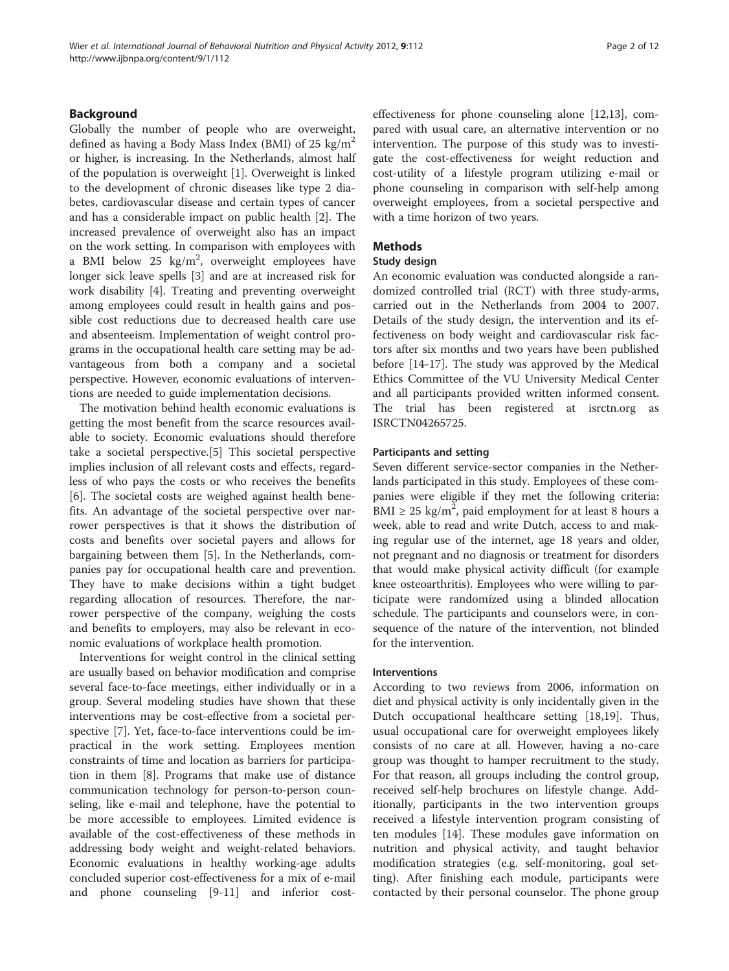# Background

Globally the number of people who are overweight, defined as having a Body Mass Index (BMI) of  $25 \text{ kg/m}^2$ or higher, is increasing. In the Netherlands, almost half of the population is overweight [[1\]](#page-10-0). Overweight is linked to the development of chronic diseases like type 2 diabetes, cardiovascular disease and certain types of cancer and has a considerable impact on public health [[2\]](#page-10-0). The increased prevalence of overweight also has an impact on the work setting. In comparison with employees with a BMI below  $25 \text{ kg/m}^2$ , overweight employees have longer sick leave spells [\[3](#page-10-0)] and are at increased risk for work disability [\[4](#page-10-0)]. Treating and preventing overweight among employees could result in health gains and possible cost reductions due to decreased health care use and absenteeism. Implementation of weight control programs in the occupational health care setting may be advantageous from both a company and a societal perspective. However, economic evaluations of interventions are needed to guide implementation decisions.

The motivation behind health economic evaluations is getting the most benefit from the scarce resources available to society. Economic evaluations should therefore take a societal perspective.[[5\]](#page-10-0) This societal perspective implies inclusion of all relevant costs and effects, regardless of who pays the costs or who receives the benefits [[6\]](#page-10-0). The societal costs are weighed against health benefits. An advantage of the societal perspective over narrower perspectives is that it shows the distribution of costs and benefits over societal payers and allows for bargaining between them [[5](#page-10-0)]. In the Netherlands, companies pay for occupational health care and prevention. They have to make decisions within a tight budget regarding allocation of resources. Therefore, the narrower perspective of the company, weighing the costs and benefits to employers, may also be relevant in economic evaluations of workplace health promotion.

Interventions for weight control in the clinical setting are usually based on behavior modification and comprise several face-to-face meetings, either individually or in a group. Several modeling studies have shown that these interventions may be cost-effective from a societal perspective [[7\]](#page-10-0). Yet, face-to-face interventions could be impractical in the work setting. Employees mention constraints of time and location as barriers for participation in them [[8](#page-10-0)]. Programs that make use of distance communication technology for person-to-person counseling, like e-mail and telephone, have the potential to be more accessible to employees. Limited evidence is available of the cost-effectiveness of these methods in addressing body weight and weight-related behaviors. Economic evaluations in healthy working-age adults concluded superior cost-effectiveness for a mix of e-mail and phone counseling [\[9-11](#page-10-0)] and inferior costeffectiveness for phone counseling alone [\[12,13](#page-10-0)], compared with usual care, an alternative intervention or no intervention. The purpose of this study was to investigate the cost-effectiveness for weight reduction and cost-utility of a lifestyle program utilizing e-mail or phone counseling in comparison with self-help among overweight employees, from a societal perspective and with a time horizon of two years.

# Methods

# Study design

An economic evaluation was conducted alongside a randomized controlled trial (RCT) with three study-arms, carried out in the Netherlands from 2004 to 2007. Details of the study design, the intervention and its effectiveness on body weight and cardiovascular risk factors after six months and two years have been published before [\[14](#page-10-0)-[17\]](#page-10-0). The study was approved by the Medical Ethics Committee of the VU University Medical Center and all participants provided written informed consent. The trial has been registered at isrctn.org as ISRCTN04265725.

# Participants and setting

Seven different service-sector companies in the Netherlands participated in this study. Employees of these companies were eligible if they met the following criteria: BMI  $\geq$  25 kg/m<sup>2</sup>, paid employment for at least 8 hours a week, able to read and write Dutch, access to and making regular use of the internet, age 18 years and older, not pregnant and no diagnosis or treatment for disorders that would make physical activity difficult (for example knee osteoarthritis). Employees who were willing to participate were randomized using a blinded allocation schedule. The participants and counselors were, in consequence of the nature of the intervention, not blinded for the intervention.

# Interventions

According to two reviews from 2006, information on diet and physical activity is only incidentally given in the Dutch occupational healthcare setting [\[18,19](#page-10-0)]. Thus, usual occupational care for overweight employees likely consists of no care at all. However, having a no-care group was thought to hamper recruitment to the study. For that reason, all groups including the control group, received self-help brochures on lifestyle change. Additionally, participants in the two intervention groups received a lifestyle intervention program consisting of ten modules [[14](#page-10-0)]. These modules gave information on nutrition and physical activity, and taught behavior modification strategies (e.g. self-monitoring, goal setting). After finishing each module, participants were contacted by their personal counselor. The phone group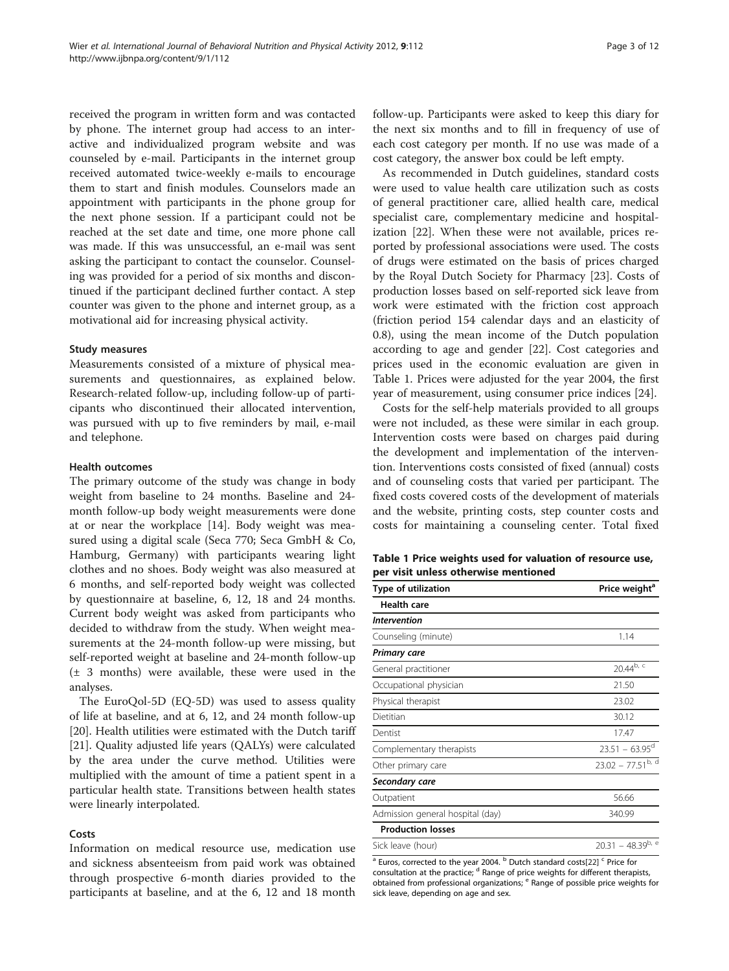received the program in written form and was contacted by phone. The internet group had access to an interactive and individualized program website and was counseled by e-mail. Participants in the internet group received automated twice-weekly e-mails to encourage them to start and finish modules. Counselors made an appointment with participants in the phone group for the next phone session. If a participant could not be reached at the set date and time, one more phone call was made. If this was unsuccessful, an e-mail was sent asking the participant to contact the counselor. Counseling was provided for a period of six months and discontinued if the participant declined further contact. A step counter was given to the phone and internet group, as a motivational aid for increasing physical activity.

## Study measures

Measurements consisted of a mixture of physical measurements and questionnaires, as explained below. Research-related follow-up, including follow-up of participants who discontinued their allocated intervention, was pursued with up to five reminders by mail, e-mail and telephone.

## Health outcomes

The primary outcome of the study was change in body weight from baseline to 24 months. Baseline and 24 month follow-up body weight measurements were done at or near the workplace [[14\]](#page-10-0). Body weight was measured using a digital scale (Seca 770; Seca GmbH & Co, Hamburg, Germany) with participants wearing light clothes and no shoes. Body weight was also measured at 6 months, and self-reported body weight was collected by questionnaire at baseline, 6, 12, 18 and 24 months. Current body weight was asked from participants who decided to withdraw from the study. When weight measurements at the 24-month follow-up were missing, but self-reported weight at baseline and 24-month follow-up (± 3 months) were available, these were used in the analyses.

The EuroQol-5D (EQ-5D) was used to assess quality of life at baseline, and at 6, 12, and 24 month follow-up [[20\]](#page-10-0). Health utilities were estimated with the Dutch tariff [[21\]](#page-10-0). Quality adjusted life years (QALYs) were calculated by the area under the curve method. Utilities were multiplied with the amount of time a patient spent in a particular health state. Transitions between health states were linearly interpolated.

# Costs

Information on medical resource use, medication use and sickness absenteeism from paid work was obtained through prospective 6-month diaries provided to the participants at baseline, and at the 6, 12 and 18 month

follow-up. Participants were asked to keep this diary for the next six months and to fill in frequency of use of each cost category per month. If no use was made of a cost category, the answer box could be left empty.

As recommended in Dutch guidelines, standard costs were used to value health care utilization such as costs of general practitioner care, allied health care, medical specialist care, complementary medicine and hospitalization [\[22\]](#page-10-0). When these were not available, prices reported by professional associations were used. The costs of drugs were estimated on the basis of prices charged by the Royal Dutch Society for Pharmacy [\[23](#page-10-0)]. Costs of production losses based on self-reported sick leave from work were estimated with the friction cost approach (friction period 154 calendar days and an elasticity of 0.8), using the mean income of the Dutch population according to age and gender [\[22](#page-10-0)]. Cost categories and prices used in the economic evaluation are given in Table 1. Prices were adjusted for the year 2004, the first year of measurement, using consumer price indices [[24](#page-10-0)].

Costs for the self-help materials provided to all groups were not included, as these were similar in each group. Intervention costs were based on charges paid during the development and implementation of the intervention. Interventions costs consisted of fixed (annual) costs and of counseling costs that varied per participant. The fixed costs covered costs of the development of materials and the website, printing costs, step counter costs and costs for maintaining a counseling center. Total fixed

Table 1 Price weights used for valuation of resource use, per visit unless otherwise mentioned

| Type of utilization              | Price weight <sup>a</sup> |
|----------------------------------|---------------------------|
| <b>Health care</b>               |                           |
| <b>Intervention</b>              |                           |
| Counseling (minute)              | 1.14                      |
| <b>Primary care</b>              |                           |
| General practitioner             | $20.44^{b, c}$            |
| Occupational physician           | 21.50                     |
| Physical therapist               | 23.02                     |
| Dietitian                        | 30.12                     |
| Dentist                          | 17.47                     |
| Complementary therapists         | $23.51 - 63.95^{\circ}$   |
| Other primary care               | $23.02 - 77.51^{b, d}$    |
| Secondary care                   |                           |
| Outpatient                       | 56.66                     |
| Admission general hospital (day) | 340.99                    |
| <b>Production losses</b>         |                           |
| Sick leave (hour)                | $20.31 - 48.39^{b, e}$    |

 $a<sup>a</sup>$  Euros, corrected to the year 2004.  $b<sup>b</sup>$  Dutch standard costs[\[22\]](#page-10-0)  $c<sup>c</sup>$  Price for consultation at the practice; <sup>d</sup> Range of price weights for different therapists, obtained from professional organizations; <sup>e</sup> Range of possible price weights for sick leave, depending on age and sex.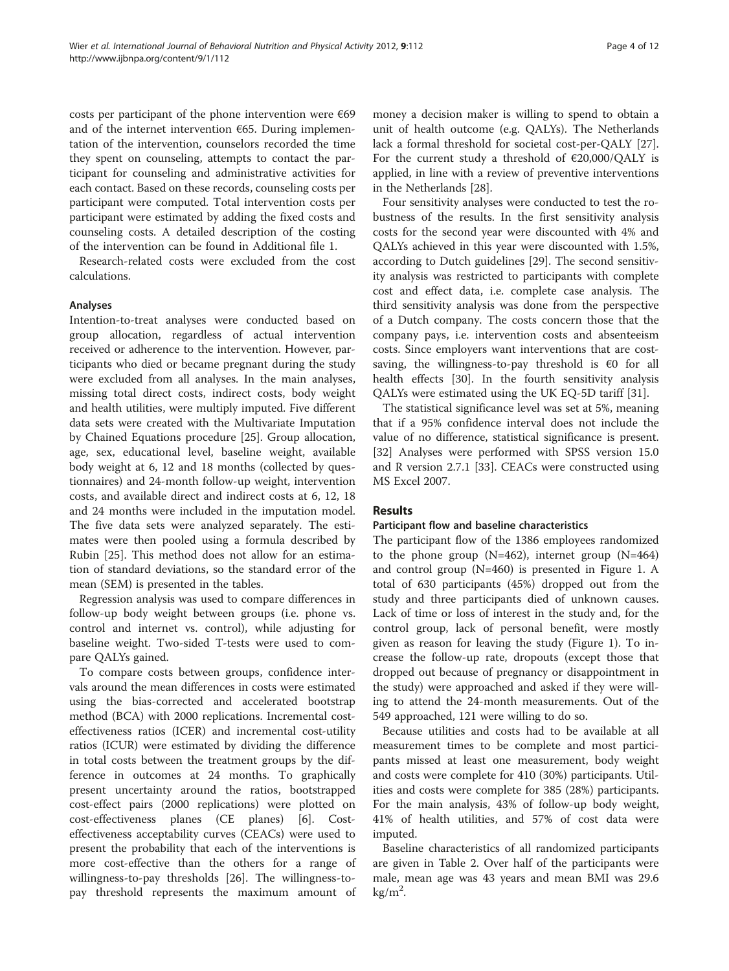costs per participant of the phone intervention were  $\epsilon$ 69 and of the internet intervention  $€65$ . During implementation of the intervention, counselors recorded the time they spent on counseling, attempts to contact the participant for counseling and administrative activities for each contact. Based on these records, counseling costs per participant were computed. Total intervention costs per participant were estimated by adding the fixed costs and counseling costs. A detailed description of the costing of the intervention can be found in [Additional file 1.](#page-9-0)

Research-related costs were excluded from the cost calculations.

# Analyses

Intention-to-treat analyses were conducted based on group allocation, regardless of actual intervention received or adherence to the intervention. However, participants who died or became pregnant during the study were excluded from all analyses. In the main analyses, missing total direct costs, indirect costs, body weight and health utilities, were multiply imputed. Five different data sets were created with the Multivariate Imputation by Chained Equations procedure [[25\]](#page-10-0). Group allocation, age, sex, educational level, baseline weight, available body weight at 6, 12 and 18 months (collected by questionnaires) and 24-month follow-up weight, intervention costs, and available direct and indirect costs at 6, 12, 18 and 24 months were included in the imputation model. The five data sets were analyzed separately. The estimates were then pooled using a formula described by Rubin [\[25](#page-10-0)]. This method does not allow for an estimation of standard deviations, so the standard error of the mean (SEM) is presented in the tables.

Regression analysis was used to compare differences in follow-up body weight between groups (i.e. phone vs. control and internet vs. control), while adjusting for baseline weight. Two-sided T-tests were used to compare QALYs gained.

To compare costs between groups, confidence intervals around the mean differences in costs were estimated using the bias-corrected and accelerated bootstrap method (BCA) with 2000 replications. Incremental costeffectiveness ratios (ICER) and incremental cost-utility ratios (ICUR) were estimated by dividing the difference in total costs between the treatment groups by the difference in outcomes at 24 months. To graphically present uncertainty around the ratios, bootstrapped cost-effect pairs (2000 replications) were plotted on cost-effectiveness planes (CE planes) [[6\]](#page-10-0). Costeffectiveness acceptability curves (CEACs) were used to present the probability that each of the interventions is more cost-effective than the others for a range of willingness-to-pay thresholds [[26\]](#page-10-0). The willingness-topay threshold represents the maximum amount of

money a decision maker is willing to spend to obtain a unit of health outcome (e.g. QALYs). The Netherlands lack a formal threshold for societal cost-per-QALY [\[27](#page-10-0)]. For the current study a threshold of  $\epsilon$ 20,000/QALY is applied, in line with a review of preventive interventions in the Netherlands [\[28](#page-10-0)].

Four sensitivity analyses were conducted to test the robustness of the results. In the first sensitivity analysis costs for the second year were discounted with 4% and QALYs achieved in this year were discounted with 1.5%, according to Dutch guidelines [\[29](#page-10-0)]. The second sensitivity analysis was restricted to participants with complete cost and effect data, i.e. complete case analysis. The third sensitivity analysis was done from the perspective of a Dutch company. The costs concern those that the company pays, i.e. intervention costs and absenteeism costs. Since employers want interventions that are costsaving, the willingness-to-pay threshold is  $\epsilon$ 0 for all health effects [\[30\]](#page-10-0). In the fourth sensitivity analysis QALYs were estimated using the UK EQ-5D tariff [[31](#page-10-0)].

The statistical significance level was set at 5%, meaning that if a 95% confidence interval does not include the value of no difference, statistical significance is present. [[32\]](#page-10-0) Analyses were performed with SPSS version 15.0 and R version 2.7.1 [[33\]](#page-10-0). CEACs were constructed using MS Excel 2007.

# Results

## Participant flow and baseline characteristics

The participant flow of the 1386 employees randomized to the phone group  $(N=462)$ , internet group  $(N=464)$ and control group (N=460) is presented in Figure [1](#page-5-0). A total of 630 participants (45%) dropped out from the study and three participants died of unknown causes. Lack of time or loss of interest in the study and, for the control group, lack of personal benefit, were mostly given as reason for leaving the study (Figure [1](#page-5-0)). To increase the follow-up rate, dropouts (except those that dropped out because of pregnancy or disappointment in the study) were approached and asked if they were willing to attend the 24-month measurements. Out of the 549 approached, 121 were willing to do so.

Because utilities and costs had to be available at all measurement times to be complete and most participants missed at least one measurement, body weight and costs were complete for 410 (30%) participants. Utilities and costs were complete for 385 (28%) participants. For the main analysis, 43% of follow-up body weight, 41% of health utilities, and 57% of cost data were imputed.

Baseline characteristics of all randomized participants are given in Table [2](#page-5-0). Over half of the participants were male, mean age was 43 years and mean BMI was 29.6  $kg/m<sup>2</sup>$ .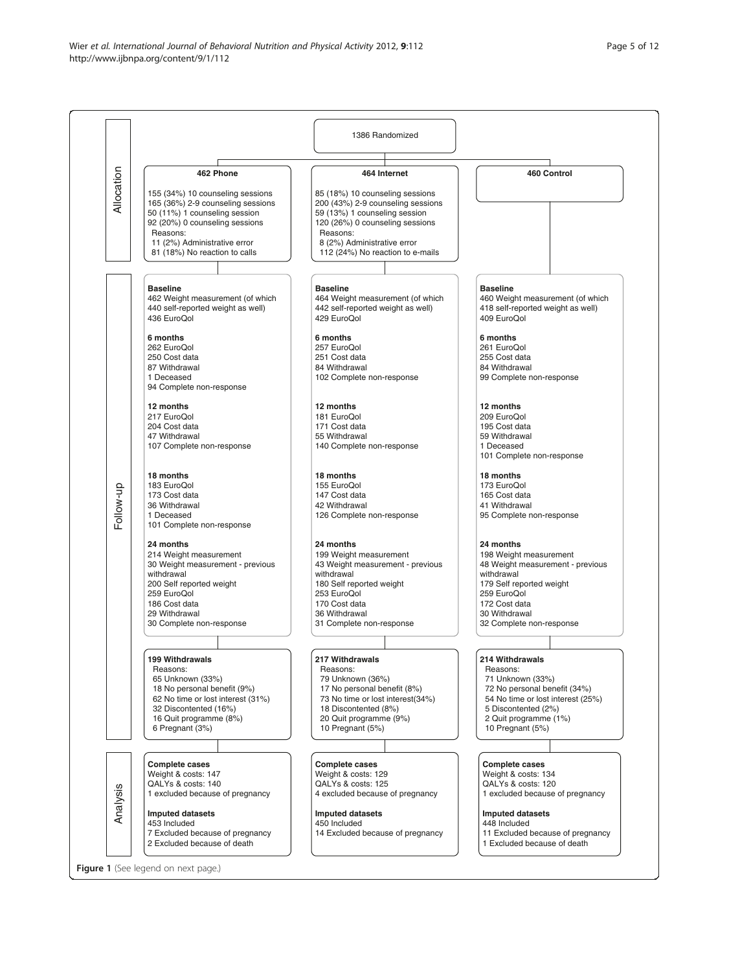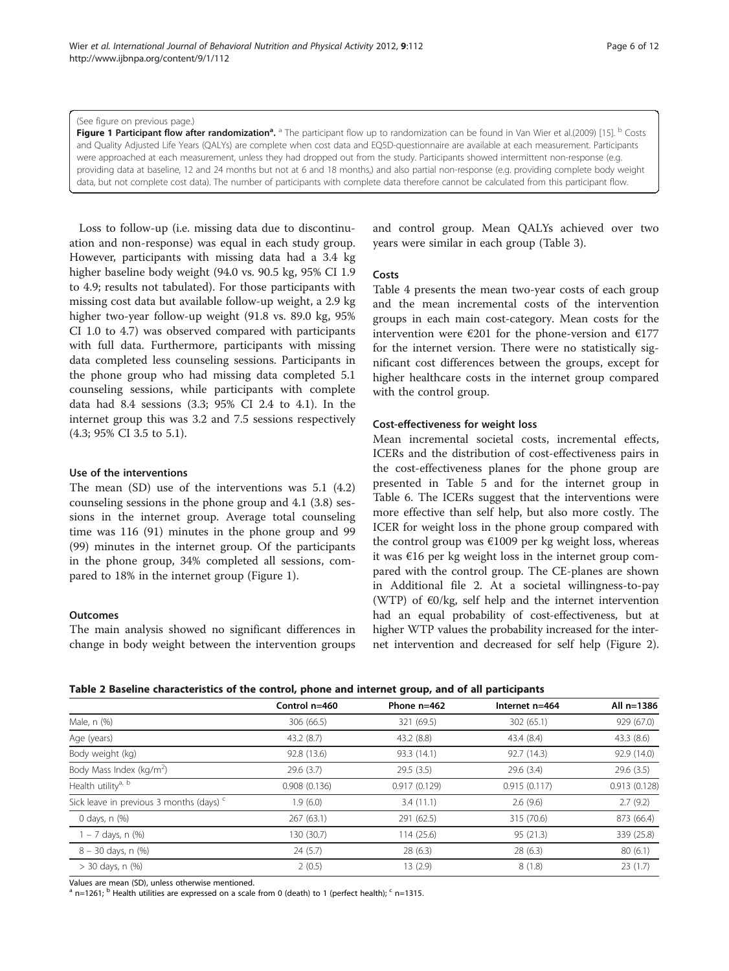#### <span id="page-5-0"></span>(See figure on previous page.)

Figure 1 Participant flow after randomization<sup>a</sup>. <sup>a</sup> The participant flow up to randomization can be found in Van Wier et al.(2009) [[15](#page-10-0)]. <sup>b</sup> Costs and Quality Adjusted Life Years (QALYs) are complete when cost data and EQ5D-questionnaire are available at each measurement. Participants were approached at each measurement, unless they had dropped out from the study. Participants showed intermittent non-response (e.g. providing data at baseline, 12 and 24 months but not at 6 and 18 months,) and also partial non-response (e.g. providing complete body weight data, but not complete cost data). The number of participants with complete data therefore cannot be calculated from this participant flow.

Loss to follow-up (i.e. missing data due to discontinuation and non-response) was equal in each study group. However, participants with missing data had a 3.4 kg higher baseline body weight (94.0 vs. 90.5 kg, 95% CI 1.9 to 4.9; results not tabulated). For those participants with missing cost data but available follow-up weight, a 2.9 kg higher two-year follow-up weight (91.8 vs. 89.0 kg, 95% CI 1.0 to 4.7) was observed compared with participants with full data. Furthermore, participants with missing data completed less counseling sessions. Participants in the phone group who had missing data completed 5.1 counseling sessions, while participants with complete data had 8.4 sessions (3.3; 95% CI 2.4 to 4.1). In the internet group this was 3.2 and 7.5 sessions respectively (4.3; 95% CI 3.5 to 5.1).

## Use of the interventions

The mean (SD) use of the interventions was 5.1 (4.2) counseling sessions in the phone group and 4.1 (3.8) sessions in the internet group. Average total counseling time was 116 (91) minutes in the phone group and 99 (99) minutes in the internet group. Of the participants in the phone group, 34% completed all sessions, compared to 18% in the internet group (Figure 1).

#### **Outcomes**

The main analysis showed no significant differences in change in body weight between the intervention groups and control group. Mean QALYs achieved over two years were similar in each group (Table [3\)](#page-6-0).

#### Costs

Table [4](#page-6-0) presents the mean two-year costs of each group and the mean incremental costs of the intervention groups in each main cost-category. Mean costs for the intervention were  $\epsilon$ 201 for the phone-version and  $\epsilon$ 177 for the internet version. There were no statistically significant cost differences between the groups, except for higher healthcare costs in the internet group compared with the control group.

#### Cost-effectiveness for weight loss

Mean incremental societal costs, incremental effects, ICERs and the distribution of cost-effectiveness pairs in the cost-effectiveness planes for the phone group are presented in Table [5](#page-7-0) and for the internet group in Table [6.](#page-7-0) The ICERs suggest that the interventions were more effective than self help, but also more costly. The ICER for weight loss in the phone group compared with the control group was €1009 per kg weight loss, whereas it was €16 per kg weight loss in the internet group compared with the control group. The CE-planes are shown in [Additional file 2](#page-9-0). At a societal willingness-to-pay (WTP) of  $\epsilon$ 0/kg, self help and the internet intervention had an equal probability of cost-effectiveness, but at higher WTP values the probability increased for the internet intervention and decreased for self help (Figure [2](#page-8-0)).

|                                                     | Control n=460 | Phone $n=462$ | Internet n=464 | All n=1386   |
|-----------------------------------------------------|---------------|---------------|----------------|--------------|
| Male, n (%)                                         | 306 (66.5)    | 321 (69.5)    | 302 (65.1)     | 929 (67.0)   |
| Age (years)                                         | 43.2(8.7)     | 43.2 (8.8)    | 43.4 (8.4)     | 43.3(8.6)    |
| Body weight (kg)                                    | 92.8 (13.6)   | 93.3 (14.1)   | 92.7 (14.3)    | 92.9 (14.0)  |
| Body Mass Index (kg/m <sup>2</sup> )                | 29.6(3.7)     | 29.5(3.5)     | 29.6(3.4)      | 29.6(3.5)    |
| Health utility <sup>a, b</sup>                      | 0.908(0.136)  | 0.917(0.129)  | 0.915(0.117)   | 0.913(0.128) |
| Sick leave in previous 3 months (days) <sup>c</sup> | 1.9(6.0)      | 3.4(11.1)     | 2.6(9.6)       | 2.7(9.2)     |
| 0 days, n (%)                                       | 267(63.1)     | 291 (62.5)    | 315 (70.6)     | 873 (66.4)   |
| 1 – 7 days, n (%)                                   | 130 (30.7)    | 114 (25.6)    | 95(21.3)       | 339 (25.8)   |
| $8 - 30$ days, n $(\%)$                             | 24(5.7)       | 28(6.3)       | 28(6.3)        | 80(6.1)      |
| $> 30$ days, n $(\%)$                               | 2(0.5)        | 13 (2.9)      | 8(1.8)         | 23(1.7)      |

Values are mean (SD), unless otherwise mentioned.

 $a$  n=1261; <sup>b</sup> Health utilities are expressed on a scale from 0 (death) to 1 (perfect health);  $c$  n=1315.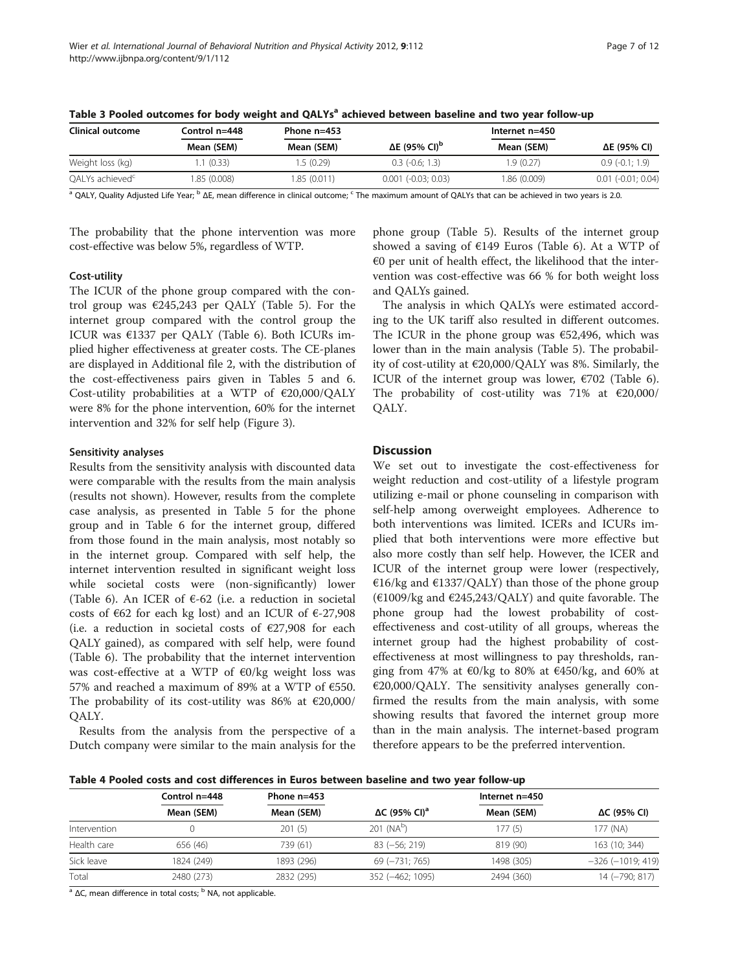| Clinical outcome            | Control n=448 | Phone $n=453$ |                                  | Internet $n=450$ |                             |
|-----------------------------|---------------|---------------|----------------------------------|------------------|-----------------------------|
|                             | Mean (SEM)    | Mean (SEM)    | $\Delta E$ (95% CI) <sup>p</sup> | Mean (SEM)       | ΔE (95% CI)                 |
| Weight loss (kg)            | .1(0.33)      | 1.5 (0.29)    | $0.3$ ( $-0.6$ : 1.3)            | 1.9 (0.27)       | $0.9(-0.1:1.9)$             |
| OALYs achieved <sup>c</sup> | 1.85 (0.008)  | 1.85 (0.011)  | $0.001$ (-0.03; 0.03)            | 1.86 (0.009)     | $0.01$ ( $-0.01$ ; $0.04$ ) |

<span id="page-6-0"></span>

| Table 3 Pooled outcomes for body weight and QALYs <sup>a</sup> achieved between baseline and two year follow-up |  |
|-----------------------------------------------------------------------------------------------------------------|--|
|-----------------------------------------------------------------------------------------------------------------|--|

<sup>a</sup> OALY, Quality Adjusted Life Year; <sup>b</sup> ΔE, mean difference in clinical outcome; <sup>c</sup> The maximum amount of OALYs that can be achieved in two years is 2.0.

The probability that the phone intervention was more cost-effective was below 5%, regardless of WTP.

# Cost-utility

The ICUR of the phone group compared with the control group was  $\epsilon$ 245,243 per QALY (Table [5](#page-7-0)). For the internet group compared with the control group the ICUR was €1337 per QALY (Table [6\)](#page-7-0). Both ICURs implied higher effectiveness at greater costs. The CE-planes are displayed in [Additional file 2](#page-9-0), with the distribution of the cost-effectiveness pairs given in Tables [5](#page-7-0) and [6](#page-7-0). Cost-utility probabilities at a WTP of €20,000/QALY were 8% for the phone intervention, 60% for the internet intervention and 32% for self help (Figure [3\)](#page-8-0).

# Sensitivity analyses

Results from the sensitivity analysis with discounted data were comparable with the results from the main analysis (results not shown). However, results from the complete case analysis, as presented in Table [5](#page-7-0) for the phone group and in Table [6](#page-7-0) for the internet group, differed from those found in the main analysis, most notably so in the internet group. Compared with self help, the internet intervention resulted in significant weight loss while societal costs were (non-significantly) lower (Table [6](#page-7-0)). An ICER of  $\epsilon$ -62 (i.e. a reduction in societal costs of  $\epsilon$ 62 for each kg lost) and an ICUR of  $\epsilon$ -27,908 (i.e. a reduction in societal costs of  $E27,908$  for each QALY gained), as compared with self help, were found (Table [6\)](#page-7-0). The probability that the internet intervention was cost-effective at a WTP of €0/kg weight loss was 57% and reached a maximum of 89% at a WTP of €550. The probability of its cost-utility was 86% at  $\epsilon$ 20,000/ QALY.

Results from the analysis from the perspective of a Dutch company were similar to the main analysis for the

phone group (Table [5](#page-7-0)). Results of the internet group showed a saving of €149 Euros (Table [6](#page-7-0)). At a WTP of  $€0$  per unit of health effect, the likelihood that the intervention was cost-effective was 66 % for both weight loss and QALYs gained.

The analysis in which QALYs were estimated according to the UK tariff also resulted in different outcomes. The ICUR in the phone group was  $€52,496$ , which was lower than in the main analysis (Table [5\)](#page-7-0). The probability of cost-utility at €20,000/QALY was 8%. Similarly, the ICUR of the internet group was lower,  $\epsilon$ 702 (Table [6](#page-7-0)). The probability of cost-utility was 71% at  $€20,000/$ QALY.

# Discussion

We set out to investigate the cost-effectiveness for weight reduction and cost-utility of a lifestyle program utilizing e-mail or phone counseling in comparison with self-help among overweight employees. Adherence to both interventions was limited. ICERs and ICURs implied that both interventions were more effective but also more costly than self help. However, the ICER and ICUR of the internet group were lower (respectively, €16/kg and €1337/QALY) than those of the phone group (€1009/kg and €245,243/QALY) and quite favorable. The phone group had the lowest probability of costeffectiveness and cost-utility of all groups, whereas the internet group had the highest probability of costeffectiveness at most willingness to pay thresholds, ranging from 47% at €0/kg to 80% at €450/kg, and 60% at €20,000/QALY. The sensitivity analyses generally confirmed the results from the main analysis, with some showing results that favored the internet group more than in the main analysis. The internet-based program therefore appears to be the preferred intervention.

Table 4 Pooled costs and cost differences in Euros between baseline and two year follow-up

|              | Control $n=448$ | Phone $n=453$ |                                  | Internet $n=450$ |                         |
|--------------|-----------------|---------------|----------------------------------|------------------|-------------------------|
|              | Mean (SEM)      | Mean (SEM)    | $\Delta C$ (95% CI) <sup>a</sup> | Mean (SEM)       | ΔC (95% CI)             |
| Intervention |                 | 201(5)        | $201$ (NA <sup>b</sup> )         | 177 (5)          | 177 (NA)                |
| Health care  | 656 (46)        | 739 (61)      | $83 (-56; 219)$                  | 819 (90)         | 163 (10; 344)           |
| Sick leave   | 1824 (249)      | 1893 (296)    | $69 (-731; 765)$                 | 1498 (305)       | $-326$ ( $-1019$ ; 419) |
| Total        | 2480 (273)      | 2832 (295)    | 352 (-462: 1095)                 | 2494 (360)       | 14 (-790; 817)          |

<sup>a</sup> ΔC, mean difference in total costs; <sup>b</sup> NA, not applicable.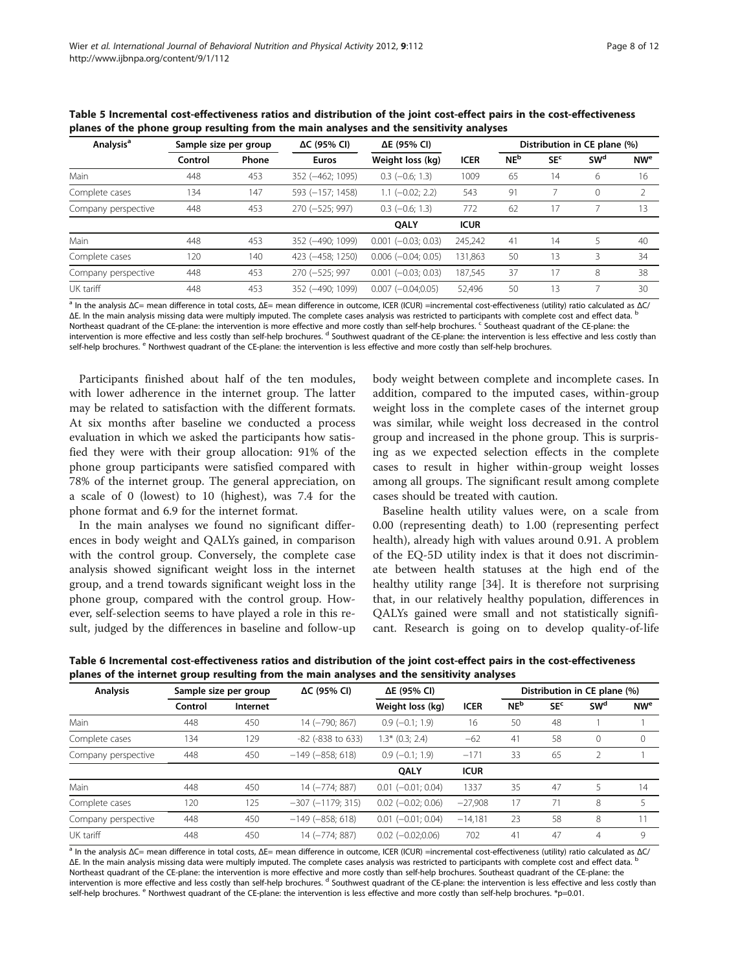| <b>Analysis<sup>a</sup></b> | Sample size per group |       | $\Delta C$ (95% CI) | ΔE (95% CI)               |             | Distribution in CE plane (%) |                 |                 |                       |
|-----------------------------|-----------------------|-------|---------------------|---------------------------|-------------|------------------------------|-----------------|-----------------|-----------------------|
|                             | Control               | Phone | <b>Euros</b>        | Weight loss (kg)          | <b>ICER</b> | NE <sup>b</sup>              | SE <sup>c</sup> | SW <sup>d</sup> | <b>NW<sup>e</sup></b> |
| Main                        | 448                   | 453   | 352 (-462; 1095)    | $0.3$ ( $-0.6$ ; 1.3)     | 1009        | 65                           | 14              | 6               | 16                    |
| Complete cases              | 134                   | 147   | 593 (-157; 1458)    | $1.1$ (-0.02; 2.2)        | 543         | 91                           |                 | $\Omega$        | 2                     |
| Company perspective         | 448                   | 453   | 270 (-525; 997)     | $0.3$ ( $-0.6$ ; 1.3)     | 772         | 62                           | 17              |                 | 13                    |
|                             |                       |       |                     | <b>OALY</b>               | <b>ICUR</b> |                              |                 |                 |                       |
| Main                        | 448                   | 453   | 352 (-490: 1099)    | $0.001$ ( $-0.03$ ; 0.03) | 245,242     | 41                           | 14              |                 | 40                    |
| Complete cases              | 120                   | 140   | 423 (-458; 1250)    | $0.006$ ( $-0.04$ ; 0.05) | 131.863     | 50                           | 13              |                 | 34                    |
| Company perspective         | 448                   | 453   | 270 (-525; 997      | $0.001$ ( $-0.03$ ; 0.03) | 187,545     | 37                           | 17              | 8               | 38                    |
| UK tariff                   | 448                   | 453   | 352 (-490: 1099)    | $0.007 (-0.04:0.05)$      | 52,496      | 50                           | 13              |                 | 30                    |

<span id="page-7-0"></span>Table 5 Incremental cost-effectiveness ratios and distribution of the joint cost-effect pairs in the cost-effectiveness planes of the phone group resulting from the main analyses and the sensitivity analyses

 $a$  In the analysis ΔC= mean difference in total costs, ΔE= mean difference in outcome, ICER (ICUR) =incremental cost-effectiveness (utility) ratio calculated as ΔC/ ΔE. In the main analysis missing data were multiply imputed. The complete cases analysis was restricted to participants with complete cost and effect data. Northeast quadrant of the CE-plane: the intervention is more effective and more costly than self-help brochures. Coutheast quadrant of the CE-plane: the intervention is more effective and less costly than self-help brochures. <sup>d</sup> Southwest quadrant of the CE-plane: the intervention is less effective and less costly than self-help brochures. <sup>e</sup> Northwest quadrant of the CE-plane: the intervention is less effective and more costly than self-help brochures.

Participants finished about half of the ten modules, with lower adherence in the internet group. The latter may be related to satisfaction with the different formats. At six months after baseline we conducted a process evaluation in which we asked the participants how satisfied they were with their group allocation: 91% of the phone group participants were satisfied compared with 78% of the internet group. The general appreciation, on a scale of 0 (lowest) to 10 (highest), was 7.4 for the phone format and 6.9 for the internet format.

In the main analyses we found no significant differences in body weight and QALYs gained, in comparison with the control group. Conversely, the complete case analysis showed significant weight loss in the internet group, and a trend towards significant weight loss in the phone group, compared with the control group. However, self-selection seems to have played a role in this result, judged by the differences in baseline and follow-up

body weight between complete and incomplete cases. In addition, compared to the imputed cases, within-group weight loss in the complete cases of the internet group was similar, while weight loss decreased in the control group and increased in the phone group. This is surprising as we expected selection effects in the complete cases to result in higher within-group weight losses among all groups. The significant result among complete cases should be treated with caution.

Baseline health utility values were, on a scale from 0.00 (representing death) to 1.00 (representing perfect health), already high with values around 0.91. A problem of the EQ-5D utility index is that it does not discriminate between health statuses at the high end of the healthy utility range [\[34\]](#page-11-0). It is therefore not surprising that, in our relatively healthy population, differences in QALYs gained were small and not statistically significant. Research is going on to develop quality-of-life

| <b>Analysis</b>     | Sample size per group |          | ΔC (95% CI)            | ΔE (95% CI)              |             | Distribution in CE plane (%) |                 |                       |                 |
|---------------------|-----------------------|----------|------------------------|--------------------------|-------------|------------------------------|-----------------|-----------------------|-----------------|
|                     | Control               | Internet |                        | Weight loss (kg)         | <b>ICER</b> | <b>NE</b> <sup>b</sup>       | SE <sup>c</sup> | <b>SW<sup>d</sup></b> | NW <sup>e</sup> |
| Main                | 448                   | 450      | 14 (-790; 867)         | $0.9$ (-0.1; 1.9)        | 16          | 50                           | 48              |                       |                 |
| Complete cases      | 134                   | 129      | $-82$ ( $-838$ to 633) | $1.3*$ (0.3; 2.4)        | $-62$       | 41                           | 58              | 0                     | $\mathbf{0}$    |
| Company perspective | 448                   | 450      | $-149 (-858; 618)$     | $0.9$ (-0.1; 1.9)        | $-171$      | 33                           | 65              | 2                     |                 |
|                     |                       |          |                        | <b>OALY</b>              | <b>ICUR</b> |                              |                 |                       |                 |
| Main                | 448                   | 450      | 14 (-774; 887)         | $0.01$ $(-0.01; 0.04)$   | 1337        | 35                           | 47              |                       | 14              |
| Complete cases      | 120                   | 125      | $-307$ $(-1179; 315)$  | $0.02$ ( $-0.02$ ; 0.06) | $-27,908$   | 17                           | 71              | 8                     | 5               |
| Company perspective | 448                   | 450      | $-149 (-858; 618)$     | $0.01$ ( $-0.01$ ; 0.04) | $-14,181$   | 23                           | 58              | 8                     | 11              |
| UK tariff           | 448                   | 450      | 14 (-774; 887)         | $0.02$ ( $-0.02;0.06$ )  | 702         | 41                           | 47              | 4                     | 9               |

Table 6 Incremental cost-effectiveness ratios and distribution of the joint cost-effect pairs in the cost-effectiveness planes of the internet group resulting from the main analyses and the sensitivity analyses

<sup>a</sup> In the analysis ΔC= mean difference in total costs, ΔE= mean difference in outcome, ICER (ICUR) =incremental cost-effectiveness (utility) ratio calculated as ΔC/ ΔE. In the main analysis missing data were multiply imputed. The complete cases analysis was restricted to participants with complete cost and effect data. <sup>b</sup> Northeast quadrant of the CE-plane: the intervention is more effective and more costly than self-help brochures. Southeast quadrant of the CE-plane: the intervention is more effective and less costly than self-help brochures. <sup>d</sup> Southwest quadrant of the CE-plane: the intervention is less effective and less costly than self-help brochures. <sup>e</sup> Northwest quadrant of the CE-plane: the intervention is less effective and more costly than self-help brochures. \*p=0.01.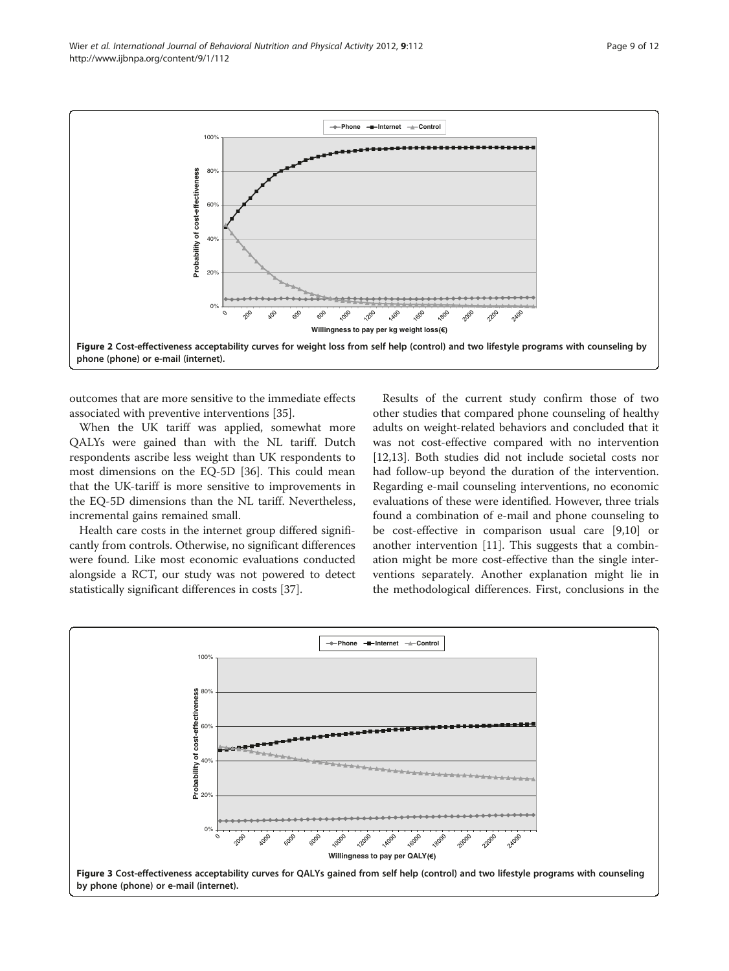<span id="page-8-0"></span>Wier et al. International Journal of Behavioral Nutrition and Physical Activity 2012, 9:112 Page 9 of 12 http://www.ijbnpa.org/content/9/1/112



outcomes that are more sensitive to the immediate effects associated with preventive interventions [[35\]](#page-11-0).

When the UK tariff was applied, somewhat more QALYs were gained than with the NL tariff. Dutch respondents ascribe less weight than UK respondents to most dimensions on the EQ-5D [[36\]](#page-11-0). This could mean that the UK-tariff is more sensitive to improvements in the EQ-5D dimensions than the NL tariff. Nevertheless, incremental gains remained small.

Health care costs in the internet group differed significantly from controls. Otherwise, no significant differences were found. Like most economic evaluations conducted alongside a RCT, our study was not powered to detect statistically significant differences in costs [\[37\]](#page-11-0).

Results of the current study confirm those of two other studies that compared phone counseling of healthy adults on weight-related behaviors and concluded that it was not cost-effective compared with no intervention [[12,13\]](#page-10-0). Both studies did not include societal costs nor had follow-up beyond the duration of the intervention. Regarding e-mail counseling interventions, no economic evaluations of these were identified. However, three trials found a combination of e-mail and phone counseling to be cost-effective in comparison usual care [\[9,10](#page-10-0)] or another intervention [\[11](#page-10-0)]. This suggests that a combination might be more cost-effective than the single interventions separately. Another explanation might lie in the methodological differences. First, conclusions in the

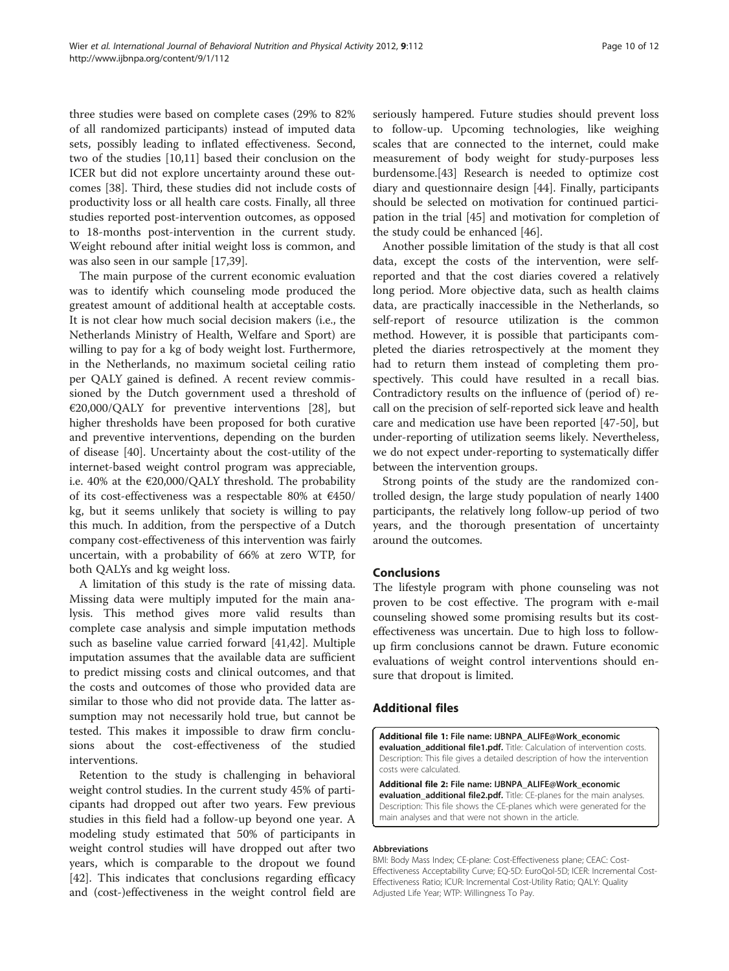<span id="page-9-0"></span>three studies were based on complete cases (29% to 82% of all randomized participants) instead of imputed data sets, possibly leading to inflated effectiveness. Second, two of the studies [\[10,11](#page-10-0)] based their conclusion on the ICER but did not explore uncertainty around these outcomes [\[38\]](#page-11-0). Third, these studies did not include costs of productivity loss or all health care costs. Finally, all three studies reported post-intervention outcomes, as opposed to 18-months post-intervention in the current study. Weight rebound after initial weight loss is common, and was also seen in our sample [\[17](#page-10-0)[,39](#page-11-0)].

The main purpose of the current economic evaluation was to identify which counseling mode produced the greatest amount of additional health at acceptable costs. It is not clear how much social decision makers (i.e., the Netherlands Ministry of Health, Welfare and Sport) are willing to pay for a kg of body weight lost. Furthermore, in the Netherlands, no maximum societal ceiling ratio per QALY gained is defined. A recent review commissioned by the Dutch government used a threshold of  $E20,000/QALY$  for preventive interventions [\[28\]](#page-10-0), but higher thresholds have been proposed for both curative and preventive interventions, depending on the burden of disease [\[40\]](#page-11-0). Uncertainty about the cost-utility of the internet-based weight control program was appreciable, i.e. 40% at the  $\epsilon$ 20,000/QALY threshold. The probability of its cost-effectiveness was a respectable 80% at €450/ kg, but it seems unlikely that society is willing to pay this much. In addition, from the perspective of a Dutch company cost-effectiveness of this intervention was fairly uncertain, with a probability of 66% at zero WTP, for both QALYs and kg weight loss.

A limitation of this study is the rate of missing data. Missing data were multiply imputed for the main analysis. This method gives more valid results than complete case analysis and simple imputation methods such as baseline value carried forward [[41](#page-11-0),[42](#page-11-0)]. Multiple imputation assumes that the available data are sufficient to predict missing costs and clinical outcomes, and that the costs and outcomes of those who provided data are similar to those who did not provide data. The latter assumption may not necessarily hold true, but cannot be tested. This makes it impossible to draw firm conclusions about the cost-effectiveness of the studied interventions.

Retention to the study is challenging in behavioral weight control studies. In the current study 45% of participants had dropped out after two years. Few previous studies in this field had a follow-up beyond one year. A modeling study estimated that 50% of participants in weight control studies will have dropped out after two years, which is comparable to the dropout we found [[42\]](#page-11-0). This indicates that conclusions regarding efficacy and (cost-)effectiveness in the weight control field are seriously hampered. Future studies should prevent loss to follow-up. Upcoming technologies, like weighing scales that are connected to the internet, could make measurement of body weight for study-purposes less burdensome.[[43](#page-11-0)] Research is needed to optimize cost diary and questionnaire design [\[44\]](#page-11-0). Finally, participants should be selected on motivation for continued participation in the trial [\[45\]](#page-11-0) and motivation for completion of the study could be enhanced [\[46](#page-11-0)].

Another possible limitation of the study is that all cost data, except the costs of the intervention, were selfreported and that the cost diaries covered a relatively long period. More objective data, such as health claims data, are practically inaccessible in the Netherlands, so self-report of resource utilization is the common method. However, it is possible that participants completed the diaries retrospectively at the moment they had to return them instead of completing them prospectively. This could have resulted in a recall bias. Contradictory results on the influence of (period of) recall on the precision of self-reported sick leave and health care and medication use have been reported [\[47](#page-11-0)-[50\]](#page-11-0), but under-reporting of utilization seems likely. Nevertheless, we do not expect under-reporting to systematically differ between the intervention groups.

Strong points of the study are the randomized controlled design, the large study population of nearly 1400 participants, the relatively long follow-up period of two years, and the thorough presentation of uncertainty around the outcomes.

# Conclusions

The lifestyle program with phone counseling was not proven to be cost effective. The program with e-mail counseling showed some promising results but its costeffectiveness was uncertain. Due to high loss to followup firm conclusions cannot be drawn. Future economic evaluations of weight control interventions should ensure that dropout is limited.

## Additional files

[Additional file 1:](http://www.biomedcentral.com/content/supplementary/1479-5868-9-112-S1.pdf) File name: IJBNPA\_ALIFE@Work\_economic evaluation\_additional file1.pdf. Title: Calculation of intervention costs. Description: This file gives a detailed description of how the intervention costs were calculated.

[Additional file 2:](http://www.biomedcentral.com/content/supplementary/1479-5868-9-112-S2.pdf) File name: IJBNPA\_ALIFE@Work\_economic evaluation\_additional file2.pdf. Title: CE-planes for the main analyses. Description: This file shows the CE-planes which were generated for the main analyses and that were not shown in the article.

#### Abbreviations

BMI: Body Mass Index; CE-plane: Cost-Effectiveness plane; CEAC: Cost-Effectiveness Acceptability Curve; EQ-5D: EuroQol-5D; ICER: Incremental Cost-Effectiveness Ratio; ICUR: Incremental Cost-Utility Ratio; QALY: Quality Adjusted Life Year; WTP: Willingness To Pay.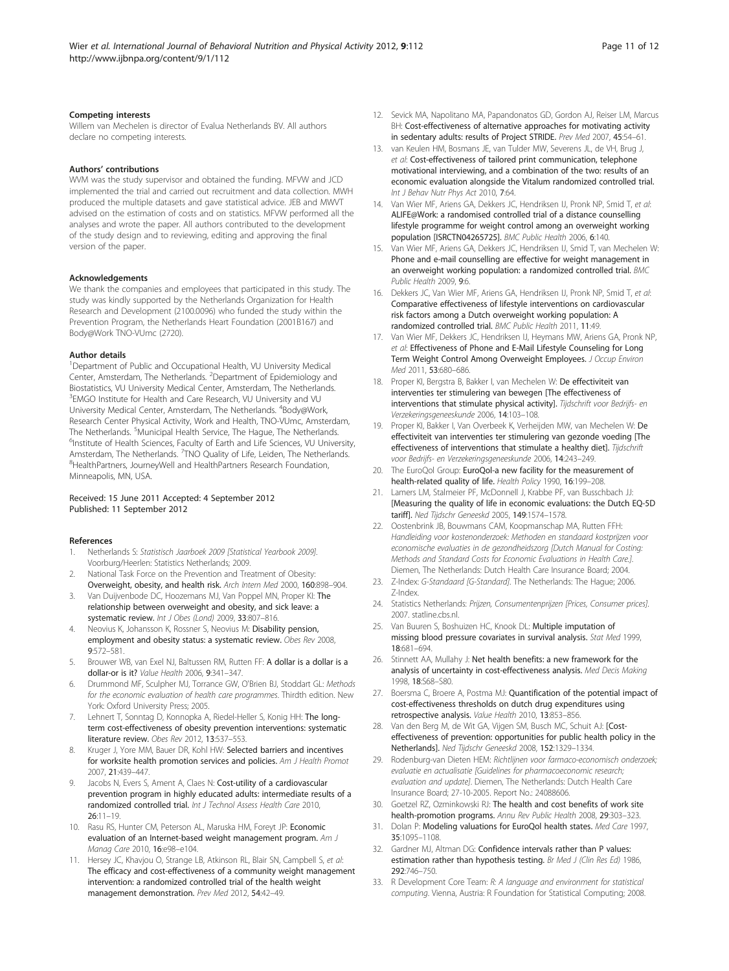#### <span id="page-10-0"></span>Competing interests

Willem van Mechelen is director of Evalua Netherlands BV. All authors declare no competing interests.

#### Authors' contributions

WVM was the study supervisor and obtained the funding. MFVW and JCD implemented the trial and carried out recruitment and data collection. MWH produced the multiple datasets and gave statistical advice. JEB and MWVT advised on the estimation of costs and on statistics. MFVW performed all the analyses and wrote the paper. All authors contributed to the development of the study design and to reviewing, editing and approving the final version of the paper.

#### Acknowledgements

We thank the companies and employees that participated in this study. The study was kindly supported by the Netherlands Organization for Health Research and Development (2100.0096) who funded the study within the Prevention Program, the Netherlands Heart Foundation (2001B167) and Body@Work TNO-VUmc (2720).

#### Author details

<sup>1</sup>Department of Public and Occupational Health, VU University Medical Center, Amsterdam, The Netherlands. <sup>2</sup>Department of Epidemiology and Biostatistics, VU University Medical Center, Amsterdam, The Netherlands. <sup>3</sup> EMGO Institute for Health and Care Research, VU University and VU University Medical Center, Amsterdam, The Netherlands. <sup>4</sup>Body@Work, Research Center Physical Activity, Work and Health, TNO-VUmc, Amsterdam, The Netherlands. <sup>5</sup>Municipal Health Service, The Hague, The Netherlands.<br><sup>6</sup>Institute of Health Sciences, Eaculty of Earth and Life Sciences, VLLUnive <sup>6</sup>Institute of Health Sciences, Faculty of Earth and Life Sciences, VU University, Amsterdam, The Netherlands. <sup>7</sup>TNO Quality of Life, Leiden, The Netherlands.<br><sup>8</sup>HoalthPartners, Journa*Well*, and HoalthPartners Pescarsh Foundation. <sup>8</sup>HealthPartners, JourneyWell and HealthPartners Research Foundation, Minneapolis, MN, USA.

#### Received: 15 June 2011 Accepted: 4 September 2012 Published: 11 September 2012

#### References

- 1. Netherlands S: Statistisch Jaarboek 2009 [Statistical Yearbook 2009]. Voorburg/Heerlen: Statistics Netherlands; 2009.
- 2. National Task Force on the Prevention and Treatment of Obesity: Overweight, obesity, and health risk. Arch Intern Med 2000, 160:898–904.
- 3. Van Duijvenbode DC, Hoozemans MJ, Van Poppel MN, Proper KI: The relationship between overweight and obesity, and sick leave: a systematic review. Int J Obes (Lond) 2009, 33:807-816.
- Neovius K, Johansson K, Rossner S, Neovius M: Disability pension, employment and obesity status: a systematic review. Obes Rev 2008, 9:572–581.
- 5. Brouwer WB, van Exel NJ, Baltussen RM, Rutten FF: A dollar is a dollar is a dollar-or is it? Value Health 2006, 9:341–347.
- 6. Drummond MF, Sculpher MJ, Torrance GW, O'Brien BJ, Stoddart GL: Methods for the economic evaluation of health care programmes. Thirdth edition. New York: Oxford University Press; 2005.
- 7. Lehnert T, Sonntag D, Konnopka A, Riedel-Heller S, Konig HH: The longterm cost-effectiveness of obesity prevention interventions: systematic literature review. Obes Rev 2012, 13:537–553.
- Kruger J, Yore MM, Bauer DR, Kohl HW: Selected barriers and incentives for worksite health promotion services and policies. Am J Health Promot 2007, 21:439–447.
- Jacobs N, Evers S, Ament A, Claes N: Cost-utility of a cardiovascular prevention program in highly educated adults: intermediate results of a randomized controlled trial. Int J Technol Assess Health Care 2010, 26:11–19.
- 10. Rasu RS, Hunter CM, Peterson AL, Maruska HM, Foreyt JP: Economic evaluation of an Internet-based weight management program. Am J Manag Care 2010, 16:e98–e104.
- 11. Hersey JC, Khavjou O, Strange LB, Atkinson RL, Blair SN, Campbell S, et al: The efficacy and cost-effectiveness of a community weight management intervention: a randomized controlled trial of the health weight management demonstration. Prev Med 2012, 54:42–49.
- 12. Sevick MA, Napolitano MA, Papandonatos GD, Gordon AJ, Reiser LM, Marcus BH: Cost-effectiveness of alternative approaches for motivating activity in sedentary adults: results of Project STRIDE. Prev Med 2007, 45:54–61.
- 13. van Keulen HM, Bosmans JE, van Tulder MW, Severens JL, de VH, Brug J, et al: Cost-effectiveness of tailored print communication, telephone motivational interviewing, and a combination of the two: results of an economic evaluation alongside the Vitalum randomized controlled trial. Int J Behav Nutr Phys Act 2010, 7:64.
- 14. Van Wier MF, Ariens GA, Dekkers JC, Hendriksen IJ, Pronk NP, Smid T, et al: ALIFE@Work: a randomised controlled trial of a distance counselling lifestyle programme for weight control among an overweight working population [ISRCTN04265725]. BMC Public Health 2006, 6:140.
- 15. Van Wier MF, Ariens GA, Dekkers JC, Hendriksen IJ, Smid T, van Mechelen W: Phone and e-mail counselling are effective for weight management in an overweight working population: a randomized controlled trial. BMC Public Health 2009, 9:6.
- 16. Dekkers JC, Van Wier MF, Ariens GA, Hendriksen IJ, Pronk NP, Smid T, et al: Comparative effectiveness of lifestyle interventions on cardiovascular risk factors among a Dutch overweight working population: A randomized controlled trial. BMC Public Health 2011, 11:49.
- 17. Van Wier MF, Dekkers JC, Hendriksen IJ, Heymans MW, Ariens GA, Pronk NP, et al: Effectiveness of Phone and E-Mail Lifestyle Counseling for Long Term Weight Control Among Overweight Employees. J Occup Environ Med 2011, 53:680–686.
- 18. Proper KI, Bergstra B, Bakker I, van Mechelen W: De effectiviteit van interventies ter stimulering van bewegen [The effectiveness of interventions that stimulate physical activity]. Tijdschrift voor Bedrijfs- en Verzekeringsgeneeskunde 2006, 14:103–108.
- 19. Proper KI, Bakker I, Van Overbeek K, Verheijden MW, van Mechelen W: De effectiviteit van interventies ter stimulering van gezonde voeding [The effectiveness of interventions that stimulate a healthy diet]. Tijdschrift voor Bedrijfs- en Verzekeringsgeneeskunde 2006, 14:243–249.
- 20. The EuroQol Group: EuroQol-a new facility for the measurement of health-related quality of life. Health Policy 1990, 16:199–208.
- 21. Lamers LM, Stalmeier PF, McDonnell J, Krabbe PF, van Busschbach JJ: [Measuring the quality of life in economic evaluations: the Dutch EQ-5D tariff]. Ned Tijdschr Geneeskd 2005, 149:1574–1578.
- 22. Oostenbrink JB, Bouwmans CAM, Koopmanschap MA, Rutten FFH: Handleiding voor kostenonderzoek: Methoden en standaard kostprijzen voor economische evaluaties in de gezondheidszorg [Dutch Manual for Costing: Methods and Standard Costs for Economic Evaluations in Health Care.]. Diemen, The Netherlands: Dutch Health Care Insurance Board; 2004.
- 23. Z-Index: G-Standaard [G-Standard]. The Netherlands: The Hague; 2006. Z-Index.
- 24. Statistics Netherlands: Prijzen, Consumentenprijzen [Prices, Consumer prices]. 2007. statline.cbs.nl.
- 25. Van Buuren S, Boshuizen HC, Knook DL: Multiple imputation of missing blood pressure covariates in survival analysis. Stat Med 1999, 18:681–694.
- 26. Stinnett AA, Mullahy J: Net health benefits: a new framework for the analysis of uncertainty in cost-effectiveness analysis. Med Decis Making 1998, 18:S68–S80.
- 27. Boersma C, Broere A, Postma MJ: Quantification of the potential impact of cost-effectiveness thresholds on dutch drug expenditures using retrospective analysis. Value Health 2010, 13:853–856.
- 28. Van den Berg M, de Wit GA, Vijgen SM, Busch MC, Schuit AJ: [Costeffectiveness of prevention: opportunities for public health policy in the Netherlands]. Ned Tijdschr Geneeskd 2008, 152:1329–1334.
- 29. Rodenburg-van Dieten HEM: Richtlijnen voor farmaco-economisch onderzoek; evaluatie en actualisatie [Guidelines for pharmacoeconomic research; evaluation and update]. Diemen, The Netherlands: Dutch Health Care Insurance Board; 27-10-2005. Report No.: 24088606.
- 30. Goetzel RZ, Ozminkowski RJ: The health and cost benefits of work site health-promotion programs. Annu Rev Public Health 2008, 29:303–323.
- 31. Dolan P: Modeling valuations for EuroQol health states. Med Care 1997, 35:1095–1108.
- 32. Gardner MJ, Altman DG: Confidence intervals rather than P values: estimation rather than hypothesis testing. Br Med J (Clin Res Ed) 1986, 292:746–750.
- 33. R Development Core Team: R: A language and environment for statistical computing. Vienna, Austria: R Foundation for Statistical Computing; 2008.